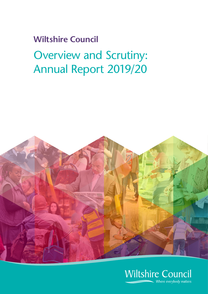# **Wiltshire Council** Overview and Scrutiny: Annual Report 2019/20



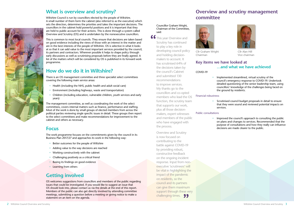## **What is overview and scrutiny?**

Wiltshire Council is run by councillors elected by the people of Wiltshire. A small number of them form the cabinet (also referred to as the executive) which sets the direction, determines the priorities and takes the important decisions. The councillors in the cabinet hold powerful positions and it is important that they are held to public account for their actions. This is done through a system called Overview and Scrutiny (OS) and is undertaken by the nonexecutive councillors.

This is common to most local councils. They ensure that decisions are taken based on good evidence including the views of those with an interest in the matter and are in the best interests of the people of Wiltshire. OS is selective in what it looks at so that it can add value to the most important services provided by the council, its partners and contractors. Wherever possible it helps to shape policy through early discussions as well as scrutinising proposals before they are finally agreed. A list of the matters which will be considered by OS is published in its forward work programme.

- Better outcomes for the people of Wiltshire
- Adding value to the way decisions are reached
- Working constructively with the cabinet
- Challenging positively as a critical friend
- **Basing its findings on good evidence**
- **Learning from others**

## **How do we do it in Wiltshire?**

There is an OS management committee and three specialist select committees covering the following main service areas:

- Health (including the NHS, public health and adult social care)
- Environment (including highways, waste and transportation)
- Children (including education, vulnerable children, youth services and early years)

The management committee, as well as coordinating the work of the select committees, covers internal matters such as finance, performance and staffing. Most of the work is done by small groups of elected members from across the political parties reviewing single specific issues in detail. These groups then report to the select committees and make recommendations for improvement to the cabinet and others as necessary.

## **Focus**

The work programme focuses on the commitments given by the council in its Business Plan 2017/27 and approaches its work in the following way:

66 This year Overview and Scrutiny has continued to play a key role in developing council policy and holding decisionmakers to account. It has scrutinised 64% of the decisions taken by the council's Cabinet and submitted 130 recommendations to improve services. My thanks go to the councillors and co-opted members who lead the OS function, the scrutiny team that supports our work, plus all those decisionmakers, expert witnesses and members of the public who have engaged with the process.

> Overview and Scrutiny is now focused on contributing to the battle against COVID-19 by providing robust, constructive feedback on the ongoing incident response. Input from nonexecutive 'scrutineers' will be vital in highlighting the impact of the pandemic on residents, so the council and its partners can give them maximum support through these very challenging times. 99

# **Getting involved**

OS welcomes suggestions from councillors and members of the public regarding issues that could be investigated. If you would like to suggest an issue that OS should look into, please contact us via the details at the end of this report. Members of the public can also get directly involved by attending committee meetings, submitting a question before a meeting or giving notice to make a statement on an item on the agenda.

## **Overview and scrutiny management**

# **committee**

Cllr Graham Wright Cllr Alan Hill



Chairman Vice chairman

## **Key items we have looked at …and what we have achieved**

COVID-19

• Implemented streamlined, virtual scrutiny of the council's emergency response to COVID-19. Undertook detailed questioning of the senior leadership team, using councillors' knowledge of the challenges being faced on the ground by residents.

#### Financial robustness

• Scrutinised council budget proposals in detail to ensure that they were sound and reviewed potential impacts on

services.

#### Public consultations



• Improved the council's approach to consulting the public on plans and changes to services. Recommended that the purpose of consultations and how they really can influence decisions are made clearer to the public.

## Councillor Graham Wright, Chairman of the Committee, said: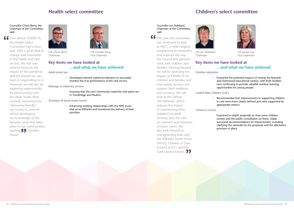

## **Children's select committee**

Cllr Jon Hubbard Cllr Jacqui Lay Chairman Vice chairman

## **Key items we have looked at …and what we have achieved**

Outdoor education

• Examined the potential impacts of closing the Braeside and Oxenwood educational centres, with both facilities now continuing to provide valuable outdoor learning opportunities for young people.

#### Looked After Children (LAC)

• Recommended that improvements to supporting children in care were more clearly defined and were supported by appropriate metrics.

#### Children's centres

• Ensuring that the next community maternity hub pilots are in Trowbridge and Paulton.

> Examined in-depth proposals to close some children centres and the public consultation on these. Made successful recommendations for improvement, including clarifying the rationale for the proposals and the alternative provision in place.

## **Health select committee**



Chairman Vice chairman



Cllr Chuck Berry Cllr Gordon King

## **Key items we have looked at …and what we have achieved**

## Adult social care

**66** Even before COVID-19, the Health Select Committee had a busy year, with a great deal of change and innovation in the health and care sectors. We will now need to focus on the impact of the pandemic and the lessons we can learn in responding to it. However, we will also be exploring opportunities for joint scrutiny with the other South West councils; assessing how "dementia friendly" our county is, and we will be developing our knowledge of the fantastic work that takes place in our communities, starting **Wh** Dorothy House.

• Developed relevant statistical indicators to accurately monitor the true performance of this vital service.

### Redesign of maternity services

#### **Scrutiny of local acute trusts**

• Enhancing working relationships with the NHS trusts that serve Wiltshire and monitored the delivery of their priorities.

#### Councillor Chuck Berry, the Chairman of the Committee, said:

#### Councillor Jon Hubbard, Chairman of the Committee, said:

66 This year the committee has continued to look at FACT, a wide-ranging programme to streamline and improve the way the council and partners work with children and families. Moving forward we will be assessing the impact of COVID-19 on children and families and how public services can support their resilience and recovery. We will look at the 'Whole Life Pathway', which reduces the impact of transitioning from children's to adult services; plus the vital recruitment and retention of foster carers. We also look forward to strengthening links with the Wiltshire Youth Union (WYU), Children in Care Council (CiCC) and the Care Leavers Forum. 99

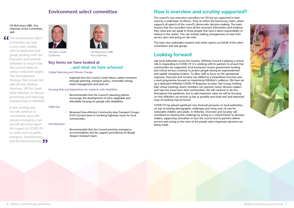

## **Environment select committee**

Cllr John Smale Cllr Bob Jones MBE Chairman Vice chairman

## **Key items we have looked at ...and what we have achieved**

Global Warming and Climate Change

• Explored how the Council could reduce carbon emissions through planning, transport policy, renewable energy, waste management and land use.

#### Housing Aids and Adaptations for residents with disabilities

Recommended that the Council prioritise emergency accommodation and the support provided by its Rough Sleeper Outreach team.

• Recommended that the Council's planning policies encourage the development of more adaptable and affordable housing for people with disabilities.

#### Highways

• Reviewed how effective Community Area Transport Groups (CAT-Gs) have been in resolving highways issues for local communities.

#### Homelessness

# **How is overview and scrutiny supported?**

The council's non-executive councillors run OS but are supported in their work by a small team of officers. They sit within the Democracy team, which supports all aspects of the council's democratic decision-making. The team ensures that the councillors have all the necessary information and evidence they need and can speak to those people that have a direct responsibility or interest in the matter. This can include making arrangements to hear from service users and going on site visits.

The team also undertakes research and writes reports on behalf of the select committees and task groups.

# **Looking forward**

66 The Environment Select Committee has had a busy year, notably with its dedicated task group working with the Executive and external witnesses to ensure that the council meets its carbon reduction targets. The Homelessness Strategy Task Group met with Rt Hon Andrew Murrison, MP for South West Wiltshire, to discuss preventing and reducing homelessness in Wiltshire.

> In the coming year we will continue to concentrate upon the climate emergency, but we will also focus upon the impact of COVID-19 on areas such as public transport, homelessness, and the local economy. **99**



Like local authorities across the country, Wiltshire Council is playing a central role in responding to COVID-19. It is working with its partners to ensure that communities are supported, local businesses receive government funding and critical services continue to protect people during an unprecedented and rapidly changing incident. To allow staff to focus on the operational response, Overview and Scrutiny has shifted to a streamlined structure and a work programme focused on maximising Wiltshire's resilience. We have set up a dedicated Wiltshire COVID-19 Response Scrutiny Task Group, holding fully virtual meetings where members can question senior decision-makers and raise live issues from their communities. We will continue to do this throughout the pandemic, but to add maximum value we will be focusing on how Wiltshire can recover as fast as possible and what new and improved ways of working may be found.

COVID-19 has placed significant new financial pressures on local authorities, on top of existing demographic challenges and rising costs of care for vulnerable children and adults. In Wiltshire, Overview and Scrutiny will contribute to meeting this challenge by acting as a 'critical friend' to decisionmakers, supporting innovation in how the council and its partners deliver services and acting as the voice of the people when important decisions are being made.

### Cllr Bob Jones MBE, Vice chairman of the Committee, said: